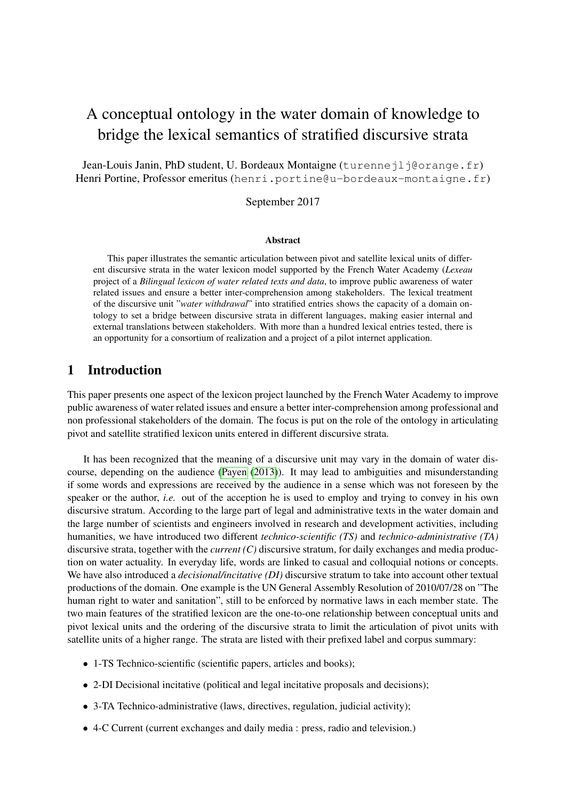# A conceptual ontology in the water domain of knowledge to bridge the lexical semantics of stratified discursive strata

Jean-Louis Janin, PhD student, U. Bordeaux Montaigne (turennejlj@orange.fr) Henri Portine, Professor emeritus (henri.portine@u-bordeaux-montaigne.fr)

September 2017

#### Abstract

This paper illustrates the semantic articulation between pivot and satellite lexical units of different discursive strata in the water lexicon model supported by the French Water Academy (*Lexeau* project of a *Bilingual lexicon of water related texts and data*, to improve public awareness of water related issues and ensure a better inter-comprehension among stakeholders. The lexical treatment of the discursive unit "*water withdrawal*" into stratified entries shows the capacity of a domain ontology to set a bridge between discursive strata in different languages, making easier internal and external translations between stakeholders. With more than a hundred lexical entries tested, there is an opportunity for a consortium of realization and a project of a pilot internet application.

### 1 Introduction

This paper presents one aspect of the lexicon project launched by the French Water Academy to improve public awareness of water related issues and ensure a better inter-comprehension among professional and non professional stakeholders of the domain. The focus is put on the role of the ontology in articulating pivot and satellite stratified lexicon units entered in different discursive strata.

It has been recognized that the meaning of a discursive unit may vary in the domain of water discourse, depending on the audience [\(Payen](#page-8-0) [\(2013\)](#page-8-0)). It may lead to ambiguities and misunderstanding if some words and expressions are received by the audience in a sense which was not foreseen by the speaker or the author, *i.e.* out of the acception he is used to employ and trying to convey in his own discursive stratum. According to the large part of legal and administrative texts in the water domain and the large number of scientists and engineers involved in research and development activities, including humanities, we have introduced two different *technico-scientific (TS)* and *technico-administrative (TA)* discursive strata, together with the *current (C)* discursive stratum, for daily exchanges and media production on water actuality. In everyday life, words are linked to casual and colloquial notions or concepts. We have also introduced a *decisional/incitative (DI)* discursive stratum to take into account other textual productions of the domain. One example is the UN General Assembly Resolution of 2010/07/28 on "The human right to water and sanitation", still to be enforced by normative laws in each member state. The two main features of the stratified lexicon are the one-to-one relationship between conceptual units and pivot lexical units and the ordering of the discursive strata to limit the articulation of pivot units with satellite units of a higher range. The strata are listed with their prefixed label and corpus summary:

- 1-TS Technico-scientific (scientific papers, articles and books);
- 2-DI Decisional incitative (political and legal incitative proposals and decisions);
- 3-TA Technico-administrative (laws, directives, regulation, judicial activity);
- 4-C Current (current exchanges and daily media : press, radio and television.)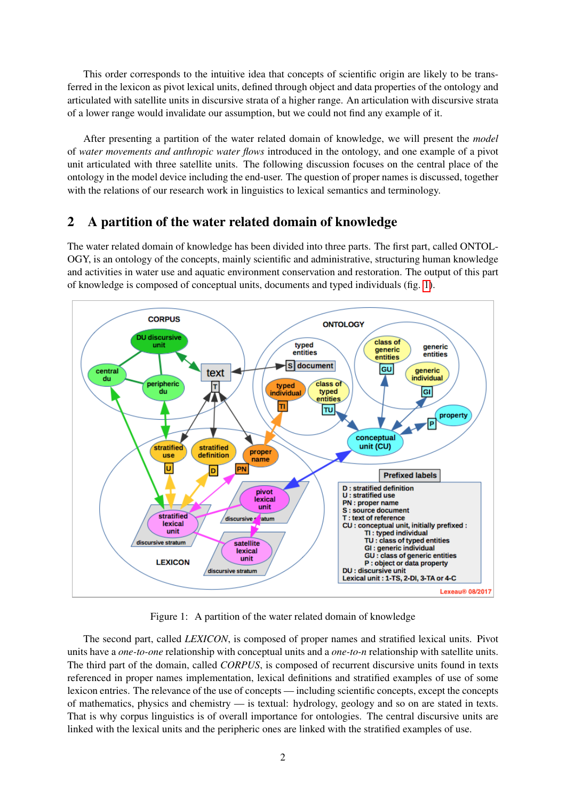This order corresponds to the intuitive idea that concepts of scientific origin are likely to be transferred in the lexicon as pivot lexical units, defined through object and data properties of the ontology and articulated with satellite units in discursive strata of a higher range. An articulation with discursive strata of a lower range would invalidate our assumption, but we could not find any example of it.

After presenting a partition of the water related domain of knowledge, we will present the *model* of *water movements and anthropic water flows* introduced in the ontology, and one example of a pivot unit articulated with three satellite units. The following discussion focuses on the central place of the ontology in the model device including the end-user. The question of proper names is discussed, together with the relations of our research work in linguistics to lexical semantics and terminology.

## 2 A partition of the water related domain of knowledge

The water related domain of knowledge has been divided into three parts. The first part, called ONTOL-OGY, is an ontology of the concepts, mainly scientific and administrative, structuring human knowledge and activities in water use and aquatic environment conservation and restoration. The output of this part of knowledge is composed of conceptual units, documents and typed individuals (fig. [1\)](#page-1-0).



<span id="page-1-0"></span>Figure 1: A partition of the water related domain of knowledge

The second part, called *LEXICON*, is composed of proper names and stratified lexical units. Pivot units have a *one-to-one* relationship with conceptual units and a *one-to-n* relationship with satellite units. The third part of the domain, called *CORPUS*, is composed of recurrent discursive units found in texts referenced in proper names implementation, lexical definitions and stratified examples of use of some lexicon entries. The relevance of the use of concepts — including scientific concepts, except the concepts of mathematics, physics and chemistry — is textual: hydrology, geology and so on are stated in texts. That is why corpus linguistics is of overall importance for ontologies. The central discursive units are linked with the lexical units and the peripheric ones are linked with the stratified examples of use.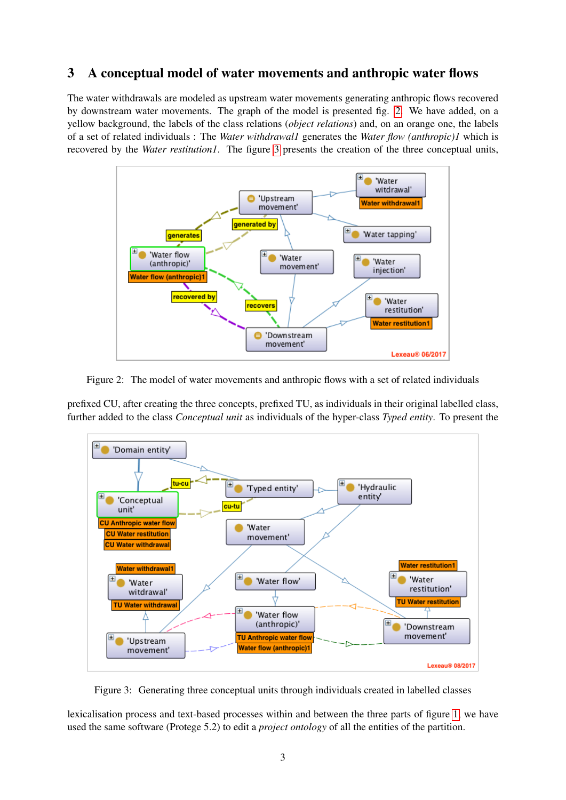## 3 A conceptual model of water movements and anthropic water flows

The water withdrawals are modeled as upstream water movements generating anthropic flows recovered by downstream water movements. The graph of the model is presented fig. [2.](#page-2-0) We have added, on a yellow background, the labels of the class relations (*object relations*) and, on an orange one, the labels of a set of related individuals : The *Water withdrawal1* generates the *Water flow (anthropic)1* which is recovered by the *Water restitution1*. The figure [3](#page-2-1) presents the creation of the three conceptual units,



<span id="page-2-0"></span>Figure 2: The model of water movements and anthropic flows with a set of related individuals

prefixed CU, after creating the three concepts, prefixed TU, as individuals in their original labelled class, further added to the class *Conceptual unit* as individuals of the hyper-class *Typed entity*. To present the



<span id="page-2-1"></span>Figure 3: Generating three conceptual units through individuals created in labelled classes

lexicalisation process and text-based processes within and between the three parts of figure [1,](#page-1-0) we have used the same software (Protege 5.2) to edit a *project ontology* of all the entities of the partition.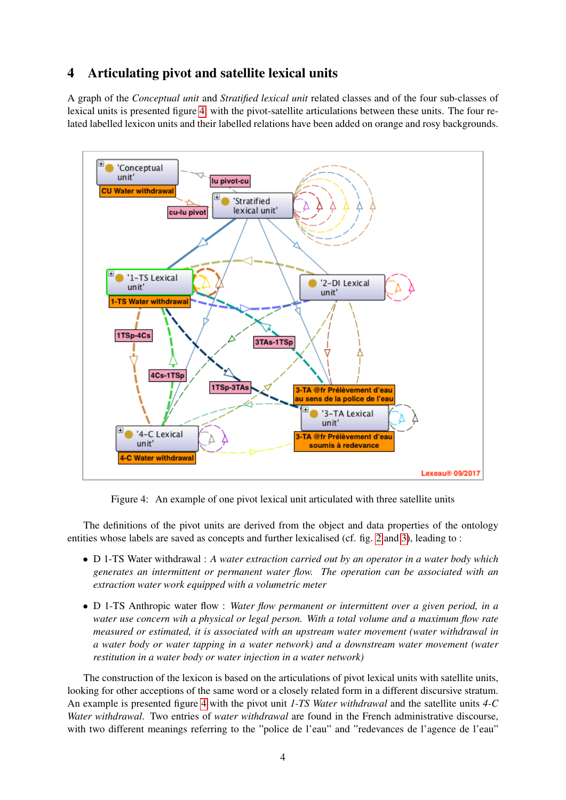# 4 Articulating pivot and satellite lexical units

A graph of the *Conceptual unit* and *Stratified lexical unit* related classes and of the four sub-classes of lexical units is presented figure [4,](#page-3-0) with the pivot-satellite articulations between these units. The four related labelled lexicon units and their labelled relations have been added on orange and rosy backgrounds.



<span id="page-3-0"></span>Figure 4: An example of one pivot lexical unit articulated with three satellite units

The definitions of the pivot units are derived from the object and data properties of the ontology entities whose labels are saved as concepts and further lexicalised (cf. fig. [2](#page-2-0) and [3\)](#page-2-1), leading to :

- D 1-TS Water withdrawal : *A water extraction carried out by an operator in a water body which generates an intermittent or permanent water flow. The operation can be associated with an extraction water work equipped with a volumetric meter*
- D 1-TS Anthropic water flow : *Water flow permanent or intermittent over a given period, in a water use concern wih a physical or legal person. With a total volume and a maximum flow rate measured or estimated, it is associated with an upstream water movement (water withdrawal in a water body or water tapping in a water network) and a downstream water movement (water restitution in a water body or water injection in a water network)*

The construction of the lexicon is based on the articulations of pivot lexical units with satellite units, looking for other acceptions of the same word or a closely related form in a different discursive stratum. An example is presented figure [4](#page-3-0) with the pivot unit *1-TS Water withdrawal* and the satellite units *4-C Water withdrawal*. Two entries of *water withdrawal* are found in the French administrative discourse, with two different meanings referring to the "police de l'eau" and "redevances de l'agence de l'eau"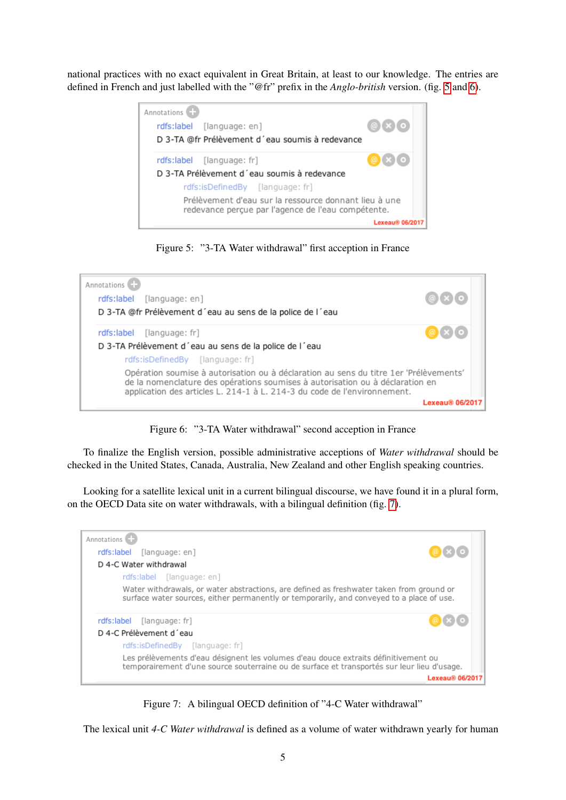national practices with no exact equivalent in Great Britain, at least to our knowledge. The entries are defined in French and just labelled with the "@fr" prefix in the *Anglo-british* version. (fig. [5](#page-4-0) and [6\)](#page-4-1).



Figure 5: "3-TA Water withdrawal" first acception in France

<span id="page-4-0"></span>

Figure 6: "3-TA Water withdrawal" second acception in France

<span id="page-4-1"></span>To finalize the English version, possible administrative acceptions of *Water withdrawal* should be checked in the United States, Canada, Australia, New Zealand and other English speaking countries.

Looking for a satellite lexical unit in a current bilingual discourse, we have found it in a plural form, on the OECD Data site on water withdrawals, with a bilingual definition (fig. [7\)](#page-4-2).



Figure 7: A bilingual OECD definition of "4-C Water withdrawal"

<span id="page-4-2"></span>The lexical unit *4-C Water withdrawal* is defined as a volume of water withdrawn yearly for human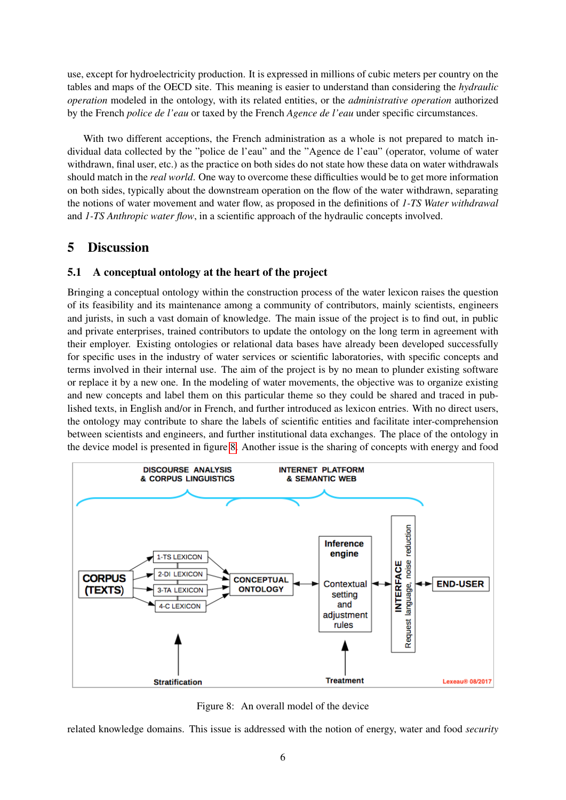use, except for hydroelectricity production. It is expressed in millions of cubic meters per country on the tables and maps of the OECD site. This meaning is easier to understand than considering the *hydraulic operation* modeled in the ontology, with its related entities, or the *administrative operation* authorized by the French *police de l'eau* or taxed by the French *Agence de l'eau* under specific circumstances.

With two different acceptions, the French administration as a whole is not prepared to match individual data collected by the "police de l'eau" and the "Agence de l'eau" (operator, volume of water withdrawn, final user, etc.) as the practice on both sides do not state how these data on water withdrawals should match in the *real world*. One way to overcome these difficulties would be to get more information on both sides, typically about the downstream operation on the flow of the water withdrawn, separating the notions of water movement and water flow, as proposed in the definitions of *1-TS Water withdrawal* and *1-TS Anthropic water flow*, in a scientific approach of the hydraulic concepts involved.

### 5 Discussion

### 5.1 A conceptual ontology at the heart of the project

Bringing a conceptual ontology within the construction process of the water lexicon raises the question of its feasibility and its maintenance among a community of contributors, mainly scientists, engineers and jurists, in such a vast domain of knowledge. The main issue of the project is to find out, in public and private enterprises, trained contributors to update the ontology on the long term in agreement with their employer. Existing ontologies or relational data bases have already been developed successfully for specific uses in the industry of water services or scientific laboratories, with specific concepts and terms involved in their internal use. The aim of the project is by no mean to plunder existing software or replace it by a new one. In the modeling of water movements, the objective was to organize existing and new concepts and label them on this particular theme so they could be shared and traced in published texts, in English and/or in French, and further introduced as lexicon entries. With no direct users, the ontology may contribute to share the labels of scientific entities and facilitate inter-comprehension between scientists and engineers, and further institutional data exchanges. The place of the ontology in the device model is presented in figure [8.](#page-5-0) Another issue is the sharing of concepts with energy and food



<span id="page-5-0"></span>Figure 8: An overall model of the device

related knowledge domains. This issue is addressed with the notion of energy, water and food *security*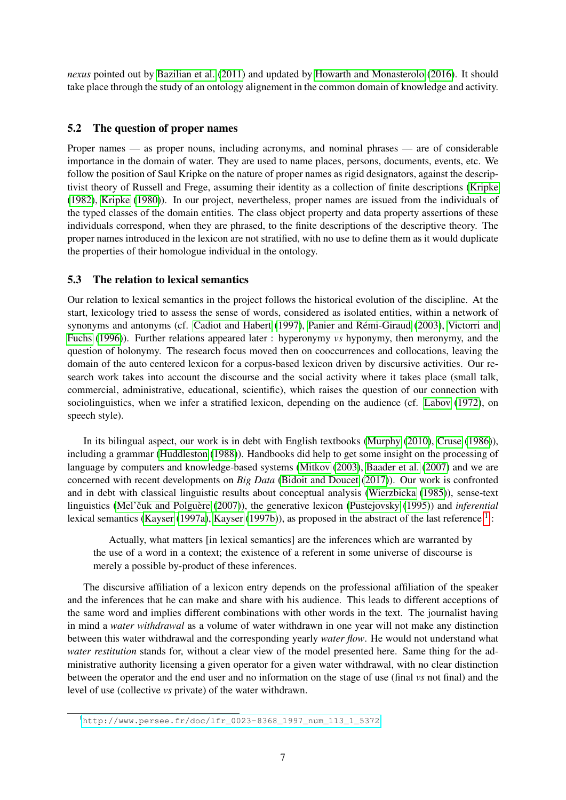*nexus* pointed out by [Bazilian et al.](#page-8-1) [\(2011\)](#page-8-1) and updated by [Howarth and Monasterolo](#page-8-2) [\(2016\)](#page-8-2). It should take place through the study of an ontology alignement in the common domain of knowledge and activity.

#### 5.2 The question of proper names

Proper names — as proper nouns, including acronyms, and nominal phrases — are of considerable importance in the domain of water. They are used to name places, persons, documents, events, etc. We follow the position of Saul Kripke on the nature of proper names as rigid designators, against the descriptivist theory of Russell and Frege, assuming their identity as a collection of finite descriptions [\(Kripke](#page-8-3) [\(1982\)](#page-8-3), [Kripke](#page-8-4) [\(1980\)](#page-8-4)). In our project, nevertheless, proper names are issued from the individuals of the typed classes of the domain entities. The class object property and data property assertions of these individuals correspond, when they are phrased, to the finite descriptions of the descriptive theory. The proper names introduced in the lexicon are not stratified, with no use to define them as it would duplicate the properties of their homologue individual in the ontology.

#### 5.3 The relation to lexical semantics

Our relation to lexical semantics in the project follows the historical evolution of the discipline. At the start, lexicology tried to assess the sense of words, considered as isolated entities, within a network of synonyms and antonyms (cf. [Cadiot and Habert](#page-8-5) [\(1997\)](#page-8-5), Panier and Rémi-Giraud [\(2003\)](#page-8-6), [Victorri and](#page-9-0) [Fuchs](#page-9-0) [\(1996\)](#page-9-0)). Further relations appeared later : hyperonymy *vs* hyponymy, then meronymy, and the question of holonymy. The research focus moved then on cooccurrences and collocations, leaving the domain of the auto centered lexicon for a corpus-based lexicon driven by discursive activities. Our research work takes into account the discourse and the social activity where it takes place (small talk, commercial, administrative, educational, scientific), which raises the question of our connection with sociolinguistics, when we infer a stratified lexicon, depending on the audience (cf. [Labov](#page-8-7) [\(1972\)](#page-8-7), on speech style).

In its bilingual aspect, our work is in debt with English textbooks [\(Murphy](#page-8-8) [\(2010\)](#page-8-8), [Cruse](#page-8-9) [\(1986\)](#page-8-9)), including a grammar [\(Huddleston](#page-8-10) [\(1988\)](#page-8-10)). Handbooks did help to get some insight on the processing of language by computers and knowledge-based systems [\(Mitkov](#page-8-11) [\(2003\)](#page-8-11), [Baader et al.](#page-8-12) [\(2007\)](#page-8-12) and we are concerned with recent developments on *Big Data* [\(Bidoit and Doucet](#page-8-13) [\(2017\)](#page-8-13)). Our work is confronted and in debt with classical linguistic results about conceptual analysis [\(Wierzbicka](#page-9-1) [\(1985\)](#page-9-1)), sense-text linguistics (Mel'čuk and Polguère [\(2007\)](#page-8-14)), the generative lexicon [\(Pustejovsky](#page-9-2) [\(1995\)](#page-9-2)) and *inferential* lexical semantics [\(Kayser](#page-8-15) [\(1997a\)](#page-8-15), [Kayser](#page-8-16) [\(1997b\)](#page-8-16)), as proposed in the abstract of the last reference  $<sup>1</sup>$  $<sup>1</sup>$  $<sup>1</sup>$ :</sup>

Actually, what matters [in lexical semantics] are the inferences which are warranted by the use of a word in a context; the existence of a referent in some universe of discourse is merely a possible by-product of these inferences.

The discursive affiliation of a lexicon entry depends on the professional affiliation of the speaker and the inferences that he can make and share with his audience. This leads to different acceptions of the same word and implies different combinations with other words in the text. The journalist having in mind a *water withdrawal* as a volume of water withdrawn in one year will not make any distinction between this water withdrawal and the corresponding yearly *water flow*. He would not understand what *water restitution* stands for, without a clear view of the model presented here. Same thing for the administrative authority licensing a given operator for a given water withdrawal, with no clear distinction between the operator and the end user and no information on the stage of use (final *vs* not final) and the level of use (collective *vs* private) of the water withdrawn.

<span id="page-6-0"></span><sup>1</sup>[http://www.persee.fr/doc/lfr\\_0023-8368\\_1997\\_num\\_113\\_1\\_5372](http://www.persee.fr/doc/lfr_0023-8368_1997_num_113_1_5372)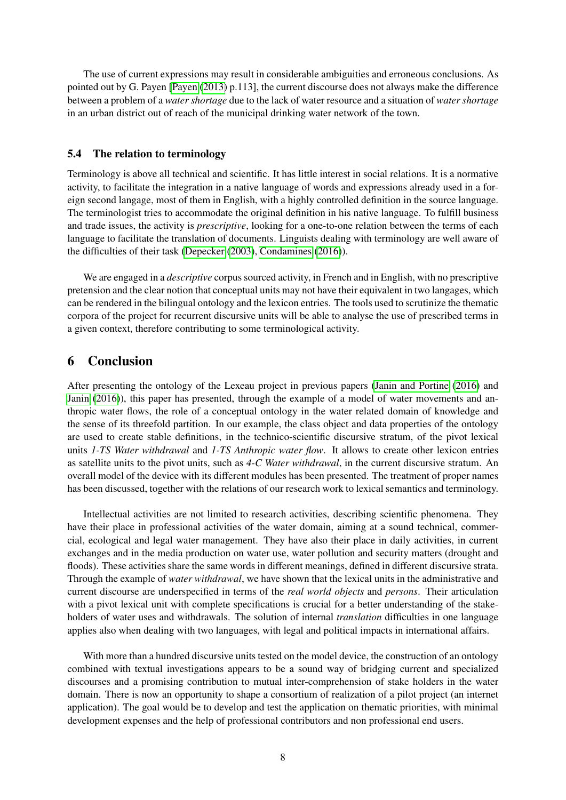The use of current expressions may result in considerable ambiguities and erroneous conclusions. As pointed out by G. Payen [\[Payen](#page-8-0) [\(2013\)](#page-8-0) p.113], the current discourse does not always make the difference between a problem of a *water shortage* due to the lack of water resource and a situation of *water shortage* in an urban district out of reach of the municipal drinking water network of the town.

#### 5.4 The relation to terminology

Terminology is above all technical and scientific. It has little interest in social relations. It is a normative activity, to facilitate the integration in a native language of words and expressions already used in a foreign second langage, most of them in English, with a highly controlled definition in the source language. The terminologist tries to accommodate the original definition in his native language. To fulfill business and trade issues, the activity is *prescriptive*, looking for a one-to-one relation between the terms of each language to facilitate the translation of documents. Linguists dealing with terminology are well aware of the difficulties of their task [\(Depecker](#page-8-17) [\(2003\)](#page-8-17), [Condamines](#page-8-18) [\(2016\)](#page-8-18)).

We are engaged in a *descriptive* corpus sourced activity, in French and in English, with no prescriptive pretension and the clear notion that conceptual units may not have their equivalent in two langages, which can be rendered in the bilingual ontology and the lexicon entries. The tools used to scrutinize the thematic corpora of the project for recurrent discursive units will be able to analyse the use of prescribed terms in a given context, therefore contributing to some terminological activity.

### 6 Conclusion

After presenting the ontology of the Lexeau project in previous papers [\(Janin and Portine](#page-8-19) [\(2016\)](#page-8-19) and [Janin](#page-8-20) [\(2016\)](#page-8-20)), this paper has presented, through the example of a model of water movements and anthropic water flows, the role of a conceptual ontology in the water related domain of knowledge and the sense of its threefold partition. In our example, the class object and data properties of the ontology are used to create stable definitions, in the technico-scientific discursive stratum, of the pivot lexical units *1-TS Water withdrawal* and *1-TS Anthropic water flow*. It allows to create other lexicon entries as satellite units to the pivot units, such as *4-C Water withdrawal*, in the current discursive stratum. An overall model of the device with its different modules has been presented. The treatment of proper names has been discussed, together with the relations of our research work to lexical semantics and terminology.

Intellectual activities are not limited to research activities, describing scientific phenomena. They have their place in professional activities of the water domain, aiming at a sound technical, commercial, ecological and legal water management. They have also their place in daily activities, in current exchanges and in the media production on water use, water pollution and security matters (drought and floods). These activities share the same words in different meanings, defined in different discursive strata. Through the example of *water withdrawal*, we have shown that the lexical units in the administrative and current discourse are underspecified in terms of the *real world objects* and *persons*. Their articulation with a pivot lexical unit with complete specifications is crucial for a better understanding of the stakeholders of water uses and withdrawals. The solution of internal *translation* difficulties in one language applies also when dealing with two languages, with legal and political impacts in international affairs.

With more than a hundred discursive units tested on the model device, the construction of an ontology combined with textual investigations appears to be a sound way of bridging current and specialized discourses and a promising contribution to mutual inter-comprehension of stake holders in the water domain. There is now an opportunity to shape a consortium of realization of a pilot project (an internet application). The goal would be to develop and test the application on thematic priorities, with minimal development expenses and the help of professional contributors and non professional end users.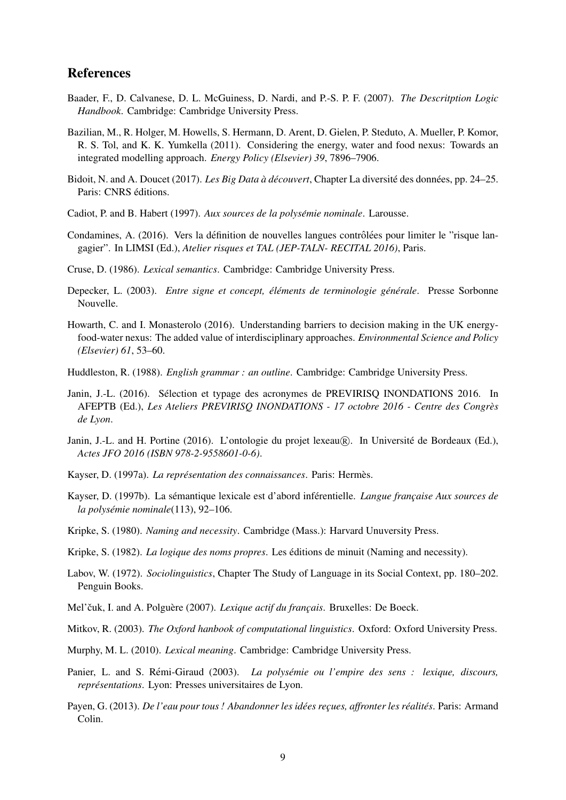### References

- <span id="page-8-12"></span>Baader, F., D. Calvanese, D. L. McGuiness, D. Nardi, and P.-S. P. F. (2007). *The Descritption Logic Handbook*. Cambridge: Cambridge University Press.
- <span id="page-8-1"></span>Bazilian, M., R. Holger, M. Howells, S. Hermann, D. Arent, D. Gielen, P. Steduto, A. Mueller, P. Komor, R. S. Tol, and K. K. Yumkella (2011). Considering the energy, water and food nexus: Towards an integrated modelling approach. *Energy Policy (Elsevier) 39*, 7896–7906.
- <span id="page-8-13"></span>Bidoit, N. and A. Doucet (2017). *Les Big Data à découvert*, Chapter La diversité des données, pp. 24–25. Paris: CNRS éditions.
- <span id="page-8-5"></span>Cadiot, P. and B. Habert (1997). *Aux sources de la polysemie nominale ´* . Larousse.
- <span id="page-8-18"></span>Condamines, A. (2016). Vers la définition de nouvelles langues contrôlées pour limiter le "risque langagier". In LIMSI (Ed.), *Atelier risques et TAL (JEP-TALN- RECITAL 2016)*, Paris.
- <span id="page-8-9"></span>Cruse, D. (1986). *Lexical semantics*. Cambridge: Cambridge University Press.
- <span id="page-8-17"></span>Depecker, L. (2003). *Entre signe et concept, éléments de terminologie générale*. Presse Sorbonne Nouvelle.
- <span id="page-8-2"></span>Howarth, C. and I. Monasterolo (2016). Understanding barriers to decision making in the UK energyfood-water nexus: The added value of interdisciplinary approaches. *Environmental Science and Policy (Elsevier) 61*, 53–60.
- <span id="page-8-10"></span>Huddleston, R. (1988). *English grammar : an outline*. Cambridge: Cambridge University Press.
- <span id="page-8-20"></span>Janin, J.-L. (2016). Sélection et typage des acronymes de PREVIRISQ INONDATIONS 2016. In AFEPTB (Ed.), *Les Ateliers PREVIRISQ INONDATIONS - 17 octobre 2016 - Centre des Congres` de Lyon*.
- <span id="page-8-19"></span>Janin, J.-L. and H. Portine (2016). L'ontologie du projet lexeau (R). In Université de Bordeaux (Ed.), *Actes JFO 2016 (ISBN 978-2-9558601-0-6)*.
- <span id="page-8-15"></span>Kayser, D. (1997a). *La représentation des connaissances*. Paris: Hermès.
- <span id="page-8-16"></span>Kayser, D. (1997b). La sémantique lexicale est d'abord inférentielle. *Langue francaise Aux sources de la polysemie nominale ´* (113), 92–106.
- <span id="page-8-4"></span>Kripke, S. (1980). *Naming and necessity*. Cambridge (Mass.): Harvard Unuversity Press.
- <span id="page-8-3"></span>Kripke, S. (1982). *La logique des noms propres*. Les editions de minuit (Naming and necessity). ´
- <span id="page-8-7"></span>Labov, W. (1972). *Sociolinguistics*, Chapter The Study of Language in its Social Context, pp. 180–202. Penguin Books.
- <span id="page-8-14"></span>Mel'čuk, I. and A. Polguère (2007). *Lexique actif du français*. Bruxelles: De Boeck.
- <span id="page-8-11"></span>Mitkov, R. (2003). *The Oxford hanbook of computational linguistics*. Oxford: Oxford University Press.
- <span id="page-8-8"></span>Murphy, M. L. (2010). *Lexical meaning*. Cambridge: Cambridge University Press.
- <span id="page-8-6"></span>Panier, L. and S. Remi-Giraud (2003). ´ *La polysemie ou l'empire des sens : lexique, discours, ´ représentations.* Lyon: Presses universitaires de Lyon.
- <span id="page-8-0"></span>Payen, G. (2013). *De l'eau pour tous ! Abandonner les idées recues, affronter les réalités.* Paris: Armand Colin.